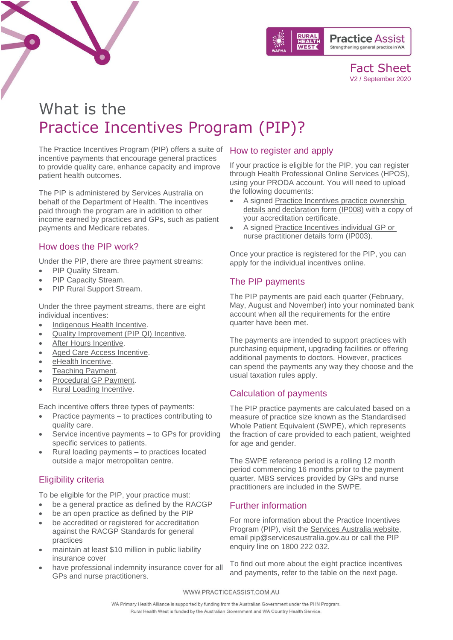

Fact Sheet V2 / September 2020

# What is the Practice Incentives Program (PIP)?

The Practice Incentives Program (PIP) offers a suite of How to register and apply incentive payments that encourage general practices to provide quality care, enhance capacity and improve patient health outcomes.

The PIP is administered by Services Australia on behalf of the Department of Health. The incentives paid through the program are in addition to other income earned by practices and GPs, such as patient payments and Medicare rebates.

### How does the PIP work?

Under the PIP, there are three payment streams:

- PIP Quality Stream.
- PIP Capacity Stream.
- PIP Rural Support Stream.

Under the three payment streams, there are eight individual incentives:

- [Indigenous Health Incentive.](https://www.practiceassist.com.au/PracticeAssist/media/ResourceLibrary/Practice%20Incentives%20Program/PIP-Indigenous-Health-Incentive-Fact-Sheet-V2-200810.pdf)
- [Quality Improvement \(PIP QI\)](https://www.practiceassist.com.au/The-Tool-Kit/Practice-Incentives-Program) Incentive.
- [After Hours Incentive.](https://www.practiceassist.com.au/PracticeAssist/media/ResourceLibrary/Practice%20Incentives%20Program/PIP-After-Hours-Incentive-Fact-Sheet-V2-200803.pdf)
- [Aged Care Access Incentive.](https://www.servicesaustralia.gov.au/organisations/health-professionals/services/medicare/practice-incentives-program/what-are-individual-incentives/general-practitioner-aged-care-access)
- [eHealth Incentive.](https://www.practiceassist.com.au/PracticeAssist/media/ResourceLibrary/Practice%20Incentives%20Program/PIP-eHealth-Incentive-Fact-Sheet-V2-200820.pdf)
- **[Teaching Payment.](https://www.practiceassist.com.au/PracticeAssist/media/ResourceLibrary/Practice%20Incentives%20Program/PIP-Teaching-Payment-Fact-Sheet-V3-200812.pdf)**
- [Procedural GP Payment.](https://www.practiceassist.com.au/PracticeAssist/media/ResourceLibrary/Practice%20Incentives%20Program/PIP-Procedural-GP-Payment-Fact-Sheet-V2-200812.pdf)
- [Rural Loading Incentive.](https://www.practiceassist.com.au/PracticeAssist/media/ResourceLibrary/Practice%20Incentives%20Program/PIP-Rural-Loading-Incentive-Fact-Sheet-V2-200812.pdf)

Each incentive offers three types of payments:

- Practice payments to practices contributing to quality care.
- Service incentive payments to GPs for providing specific services to patients.
- Rural loading payments to practices located outside a major metropolitan centre.

### Eligibility criteria

To be eligible for the PIP, your practice must:

- be a general practice as defined by the RACGP
- be an open practice as defined by the PIP
- be accredited or registered for accreditation against the RACGP Standards for general practices
- maintain at least \$10 million in public liability insurance cover
- have professional indemnity insurance cover for all GPs and nurse practitioners.

If your practice is eligible for the PIP, you can register through Health Professional Online Services (HPOS), using your PRODA account. You will need to upload the following documents:

- A signed Practice Incentives practice ownership [details and declaration form](https://www.servicesaustralia.gov.au/organisations/health-professionals/forms/ip008) (IP008) with a copy of your accreditation certificate.
- A signed [Practice Incentives individual GP](https://www.servicesaustralia.gov.au/organisations/health-professionals/forms/ip003) or [nurse practitioner details form](https://www.servicesaustralia.gov.au/organisations/health-professionals/forms/ip003) (IP003).

Once your practice is registered for the PIP, you can apply for the individual incentives online.

### The PIP payments

The PIP payments are paid each quarter (February, May, August and November) into your nominated bank account when all the requirements for the entire quarter have been met.

The payments are intended to support practices with purchasing equipment, upgrading facilities or offering additional payments to doctors. However, practices can spend the payments any way they choose and the usual taxation rules apply.

### Calculation of payments

The PIP practice payments are calculated based on a measure of practice size known as the Standardised Whole Patient Equivalent (SWPE), which represents the fraction of care provided to each patient, weighted for age and gender.

The SWPE reference period is a rolling 12 month period commencing 16 months prior to the payment quarter. MBS services provided by GPs and nurse practitioners are included in the SWPE.

### Further information

For more information about the Practice Incentives Program (PIP), visit the [Services Australia website,](https://www.servicesaustralia.gov.au/organisations/health-professionals/services/medicare/practice-incentives-program) email [pip@servicesaustralia.gov.au](mailto:pip@servicesaustralia.gov.au) or call the PIP enquiry line on 1800 222 032.

To find out more about the eight practice incentives and payments, refer to the table on the next page.

WWW.PRACTICEASSIST.COM.AU